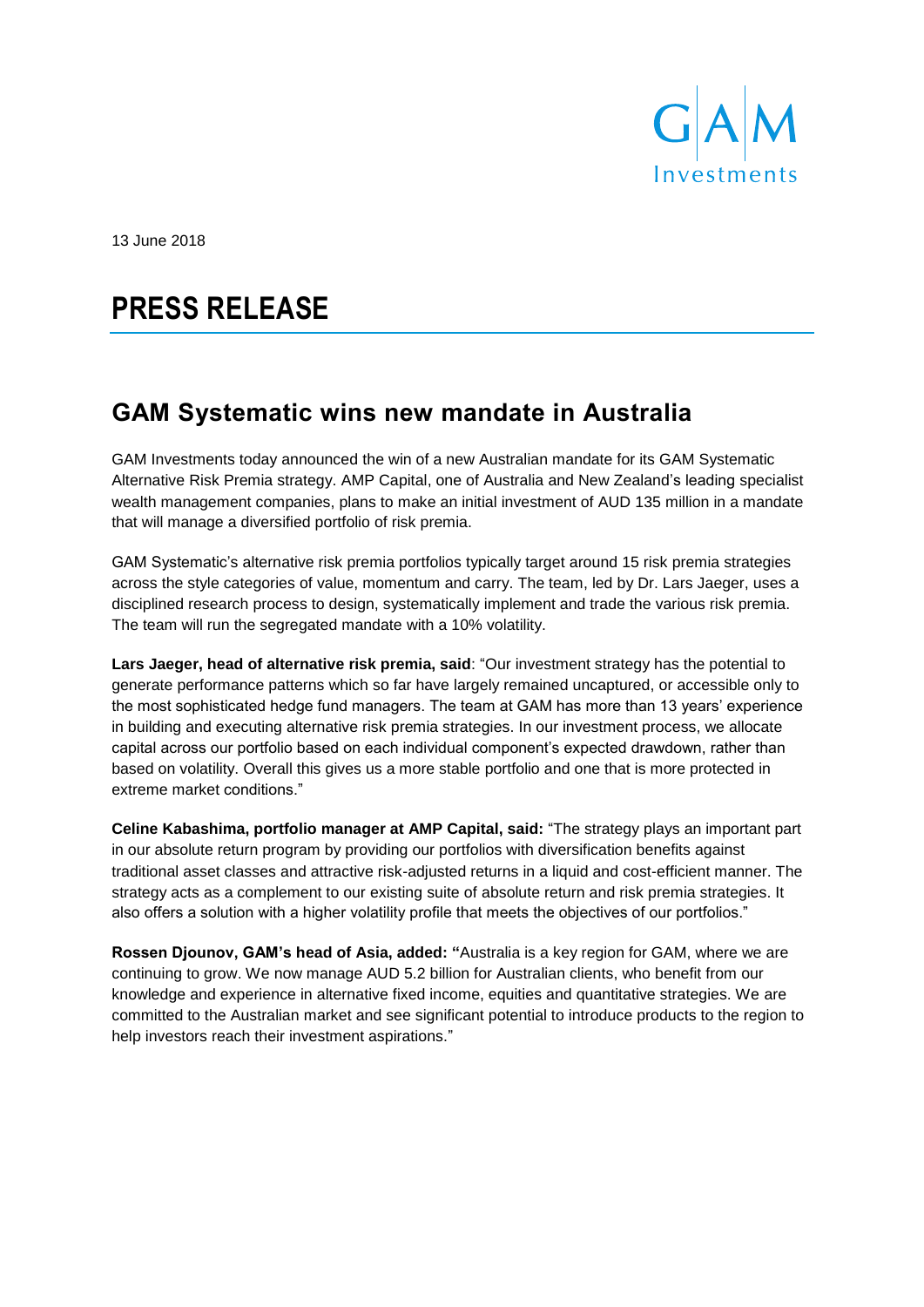

13 June 2018

# **PRESS RELEASE**

## **GAM Systematic wins new mandate in Australia**

GAM Investments today announced the win of a new Australian mandate for its GAM Systematic Alternative Risk Premia strategy. AMP Capital, one of Australia and New Zealand's leading specialist wealth management companies, plans to make an initial investment of AUD 135 million in a mandate that will manage a diversified portfolio of risk premia.

GAM Systematic's alternative risk premia portfolios typically target around 15 risk premia strategies across the style categories of value, momentum and carry. The team, led by Dr. Lars Jaeger, uses a disciplined research process to design, systematically implement and trade the various risk premia. The team will run the segregated mandate with a 10% volatility.

**Lars Jaeger, head of alternative risk premia, said**: "Our investment strategy has the potential to generate performance patterns which so far have largely remained uncaptured, or accessible only to the most sophisticated hedge fund managers. The team at GAM has more than 13 years' experience in building and executing alternative risk premia strategies. In our investment process, we allocate capital across our portfolio based on each individual component's expected drawdown, rather than based on volatility. Overall this gives us a more stable portfolio and one that is more protected in extreme market conditions."

**Celine Kabashima, portfolio manager at AMP Capital, said:** "The strategy plays an important part in our absolute return program by providing our portfolios with diversification benefits against traditional asset classes and attractive risk-adjusted returns in a liquid and cost-efficient manner. The strategy acts as a complement to our existing suite of absolute return and risk premia strategies. It also offers a solution with a higher volatility profile that meets the objectives of our portfolios."

**Rossen Djounov, GAM's head of Asia, added: "**Australia is a key region for GAM, where we are continuing to grow. We now manage AUD 5.2 billion for Australian clients, who benefit from our knowledge and experience in alternative fixed income, equities and quantitative strategies. We are committed to the Australian market and see significant potential to introduce products to the region to help investors reach their investment aspirations."